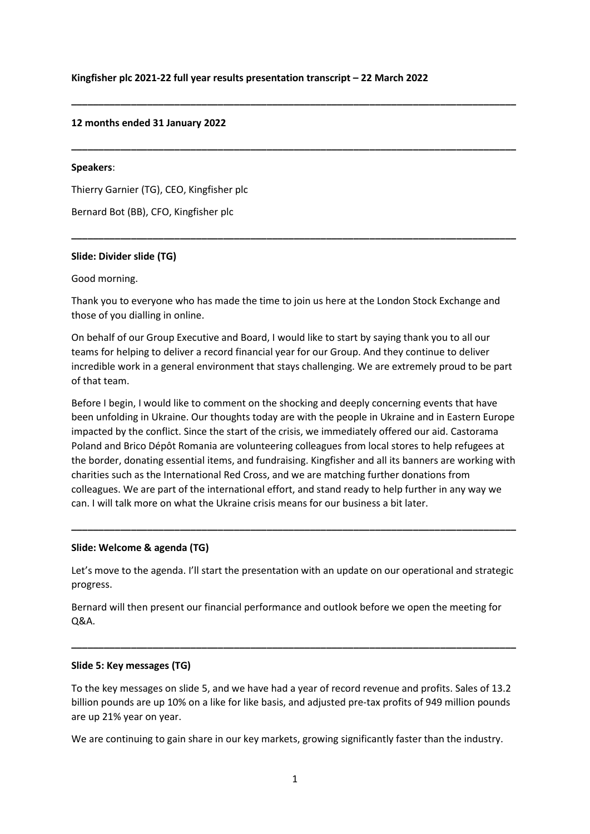#### **Kingfisher plc 2021-22 full year results presentation transcript – 22 March 2022**

#### **12 months ended 31 January 2022**

#### **Speakers**:

Thierry Garnier (TG), CEO, Kingfisher plc

Bernard Bot (BB), CFO, Kingfisher plc

#### **Slide: Divider slide (TG)**

Good morning.

Thank you to everyone who has made the time to join us here at the London Stock Exchange and those of you dialling in online.

**\_\_\_\_\_\_\_\_\_\_\_\_\_\_\_\_\_\_\_\_\_\_\_\_\_\_\_\_\_\_\_\_\_\_\_\_\_\_\_\_\_\_\_\_\_\_\_\_\_\_\_\_\_\_\_\_\_\_\_\_\_\_\_\_\_\_\_\_\_\_\_\_\_\_\_\_\_\_\_\_\_\_**

**\_\_\_\_\_\_\_\_\_\_\_\_\_\_\_\_\_\_\_\_\_\_\_\_\_\_\_\_\_\_\_\_\_\_\_\_\_\_\_\_\_\_\_\_\_\_\_\_\_\_\_\_\_\_\_\_\_\_\_\_\_\_\_\_\_\_\_\_\_\_\_\_\_\_\_\_\_\_\_\_\_\_**

**\_\_\_\_\_\_\_\_\_\_\_\_\_\_\_\_\_\_\_\_\_\_\_\_\_\_\_\_\_\_\_\_\_\_\_\_\_\_\_\_\_\_\_\_\_\_\_\_\_\_\_\_\_\_\_\_\_\_\_\_\_\_\_\_\_\_\_\_\_\_\_\_\_\_\_\_\_\_\_\_\_\_**

On behalf of our Group Executive and Board, I would like to start by saying thank you to all our teams for helping to deliver a record financial year for our Group. And they continue to deliver incredible work in a general environment that stays challenging. We are extremely proud to be part of that team.

Before I begin, I would like to comment on the shocking and deeply concerning events that have been unfolding in Ukraine. Our thoughts today are with the people in Ukraine and in Eastern Europe impacted by the conflict. Since the start of the crisis, we immediately offered our aid. Castorama Poland and Brico Dépôt Romania are volunteering colleagues from local stores to help refugees at the border, donating essential items, and fundraising. Kingfisher and all its banners are working with charities such as the International Red Cross, and we are matching further donations from colleagues. We are part of the international effort, and stand ready to help further in any way we can. I will talk more on what the Ukraine crisis means for our business a bit later.

#### **Slide: Welcome & agenda (TG)**

Let's move to the agenda. I'll start the presentation with an update on our operational and strategic progress.

**\_\_\_\_\_\_\_\_\_\_\_\_\_\_\_\_\_\_\_\_\_\_\_\_\_\_\_\_\_\_\_\_\_\_\_\_\_\_\_\_\_\_\_\_\_\_\_\_\_\_\_\_\_\_\_\_\_\_\_\_\_\_\_\_\_\_\_\_\_\_\_\_\_\_\_\_\_\_\_\_\_\_**

Bernard will then present our financial performance and outlook before we open the meeting for Q&A.

**\_\_\_\_\_\_\_\_\_\_\_\_\_\_\_\_\_\_\_\_\_\_\_\_\_\_\_\_\_\_\_\_\_\_\_\_\_\_\_\_\_\_\_\_\_\_\_\_\_\_\_\_\_\_\_\_\_\_\_\_\_\_\_\_\_\_\_\_\_\_\_\_\_\_\_\_\_\_\_\_\_\_**

#### **Slide 5: Key messages (TG)**

To the key messages on slide 5, and we have had a year of record revenue and profits. Sales of 13.2 billion pounds are up 10% on a like for like basis, and adjusted pre-tax profits of 949 million pounds are up 21% year on year.

We are continuing to gain share in our key markets, growing significantly faster than the industry.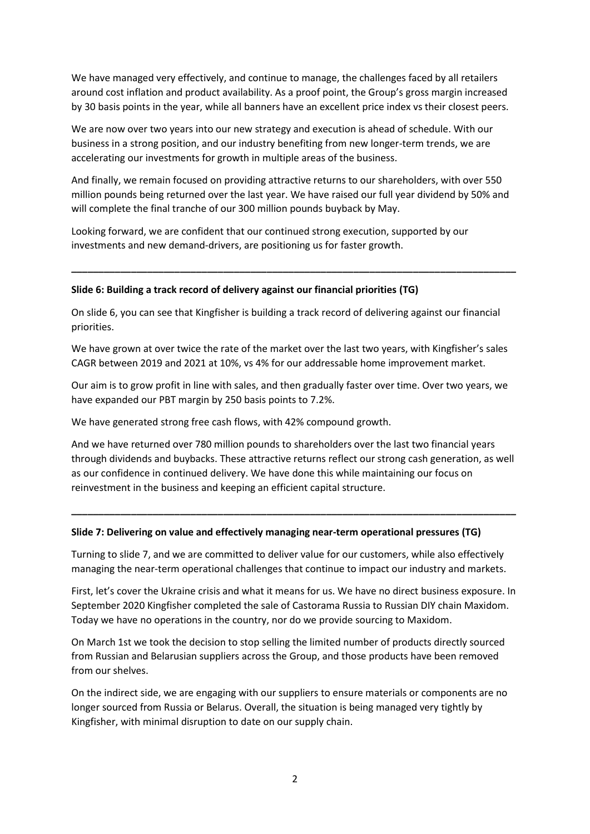We have managed very effectively, and continue to manage, the challenges faced by all retailers around cost inflation and product availability. As a proof point, the Group's gross margin increased by 30 basis points in the year, while all banners have an excellent price index vs their closest peers.

We are now over two years into our new strategy and execution is ahead of schedule. With our business in a strong position, and our industry benefiting from new longer-term trends, we are accelerating our investments for growth in multiple areas of the business.

And finally, we remain focused on providing attractive returns to our shareholders, with over 550 million pounds being returned over the last year. We have raised our full year dividend by 50% and will complete the final tranche of our 300 million pounds buyback by May.

Looking forward, we are confident that our continued strong execution, supported by our investments and new demand-drivers, are positioning us for faster growth.

#### **Slide 6: Building a track record of delivery against our financial priorities (TG)**

On slide 6, you can see that Kingfisher is building a track record of delivering against our financial priorities.

**\_\_\_\_\_\_\_\_\_\_\_\_\_\_\_\_\_\_\_\_\_\_\_\_\_\_\_\_\_\_\_\_\_\_\_\_\_\_\_\_\_\_\_\_\_\_\_\_\_\_\_\_\_\_\_\_\_\_\_\_\_\_\_\_\_\_\_\_\_\_\_\_\_\_\_\_\_\_\_\_\_\_**

We have grown at over twice the rate of the market over the last two years, with Kingfisher's sales CAGR between 2019 and 2021 at 10%, vs 4% for our addressable home improvement market.

Our aim is to grow profit in line with sales, and then gradually faster over time. Over two years, we have expanded our PBT margin by 250 basis points to 7.2%.

We have generated strong free cash flows, with 42% compound growth.

And we have returned over 780 million pounds to shareholders over the last two financial years through dividends and buybacks. These attractive returns reflect our strong cash generation, as well as our confidence in continued delivery. We have done this while maintaining our focus on reinvestment in the business and keeping an efficient capital structure.

**\_\_\_\_\_\_\_\_\_\_\_\_\_\_\_\_\_\_\_\_\_\_\_\_\_\_\_\_\_\_\_\_\_\_\_\_\_\_\_\_\_\_\_\_\_\_\_\_\_\_\_\_\_\_\_\_\_\_\_\_\_\_\_\_\_\_\_\_\_\_\_\_\_\_\_\_\_\_\_\_\_\_**

## **Slide 7: Delivering on value and effectively managing near-term operational pressures (TG)**

Turning to slide 7, and we are committed to deliver value for our customers, while also effectively managing the near-term operational challenges that continue to impact our industry and markets.

First, let's cover the Ukraine crisis and what it means for us. We have no direct business exposure. In September 2020 Kingfisher completed the sale of Castorama Russia to Russian DIY chain Maxidom. Today we have no operations in the country, nor do we provide sourcing to Maxidom.

On March 1st we took the decision to stop selling the limited number of products directly sourced from Russian and Belarusian suppliers across the Group, and those products have been removed from our shelves.

On the indirect side, we are engaging with our suppliers to ensure materials or components are no longer sourced from Russia or Belarus. Overall, the situation is being managed very tightly by Kingfisher, with minimal disruption to date on our supply chain.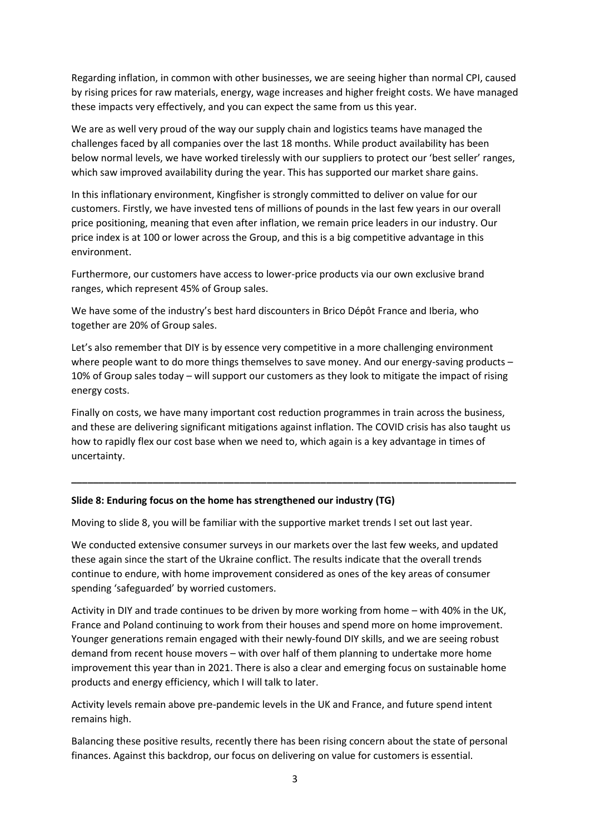Regarding inflation, in common with other businesses, we are seeing higher than normal CPI, caused by rising prices for raw materials, energy, wage increases and higher freight costs. We have managed these impacts very effectively, and you can expect the same from us this year.

We are as well very proud of the way our supply chain and logistics teams have managed the challenges faced by all companies over the last 18 months. While product availability has been below normal levels, we have worked tirelessly with our suppliers to protect our 'best seller' ranges, which saw improved availability during the year. This has supported our market share gains.

In this inflationary environment, Kingfisher is strongly committed to deliver on value for our customers. Firstly, we have invested tens of millions of pounds in the last few years in our overall price positioning, meaning that even after inflation, we remain price leaders in our industry. Our price index is at 100 or lower across the Group, and this is a big competitive advantage in this environment.

Furthermore, our customers have access to lower-price products via our own exclusive brand ranges, which represent 45% of Group sales.

We have some of the industry's best hard discounters in Brico Dépôt France and Iberia, who together are 20% of Group sales.

Let's also remember that DIY is by essence very competitive in a more challenging environment where people want to do more things themselves to save money. And our energy-saving products – 10% of Group sales today – will support our customers as they look to mitigate the impact of rising energy costs.

Finally on costs, we have many important cost reduction programmes in train across the business, and these are delivering significant mitigations against inflation. The COVID crisis has also taught us how to rapidly flex our cost base when we need to, which again is a key advantage in times of uncertainty.

**\_\_\_\_\_\_\_\_\_\_\_\_\_\_\_\_\_\_\_\_\_\_\_\_\_\_\_\_\_\_\_\_\_\_\_\_\_\_\_\_\_\_\_\_\_\_\_\_\_\_\_\_\_\_\_\_\_\_\_\_\_\_\_\_\_\_\_\_\_\_\_\_\_\_\_\_\_\_\_\_\_\_**

## **Slide 8: Enduring focus on the home has strengthened our industry (TG)**

Moving to slide 8, you will be familiar with the supportive market trends I set out last year.

We conducted extensive consumer surveys in our markets over the last few weeks, and updated these again since the start of the Ukraine conflict. The results indicate that the overall trends continue to endure, with home improvement considered as ones of the key areas of consumer spending 'safeguarded' by worried customers.

Activity in DIY and trade continues to be driven by more working from home – with 40% in the UK, France and Poland continuing to work from their houses and spend more on home improvement. Younger generations remain engaged with their newly-found DIY skills, and we are seeing robust demand from recent house movers – with over half of them planning to undertake more home improvement this year than in 2021. There is also a clear and emerging focus on sustainable home products and energy efficiency, which I will talk to later.

Activity levels remain above pre-pandemic levels in the UK and France, and future spend intent remains high.

Balancing these positive results, recently there has been rising concern about the state of personal finances. Against this backdrop, our focus on delivering on value for customers is essential.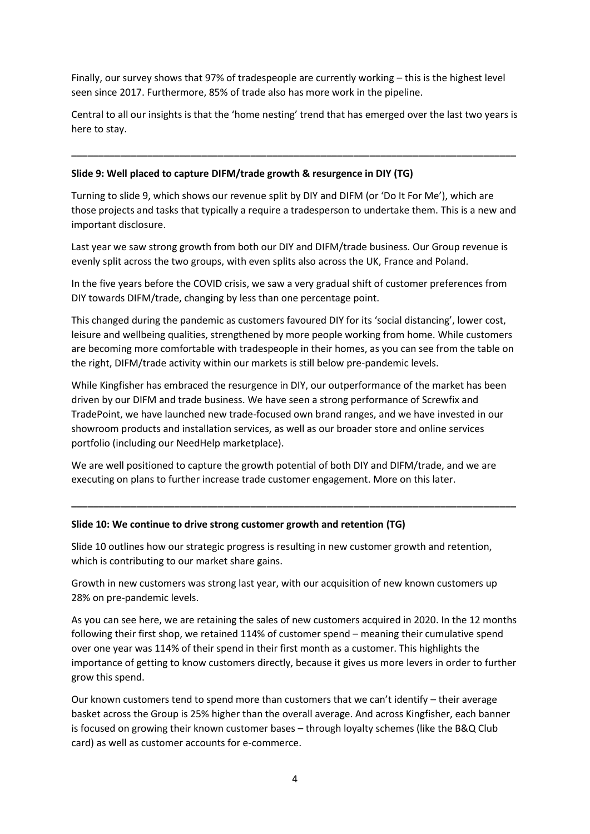Finally, our survey shows that 97% of tradespeople are currently working – this is the highest level seen since 2017. Furthermore, 85% of trade also has more work in the pipeline.

Central to all our insights is that the 'home nesting' trend that has emerged over the last two years is here to stay.

**\_\_\_\_\_\_\_\_\_\_\_\_\_\_\_\_\_\_\_\_\_\_\_\_\_\_\_\_\_\_\_\_\_\_\_\_\_\_\_\_\_\_\_\_\_\_\_\_\_\_\_\_\_\_\_\_\_\_\_\_\_\_\_\_\_\_\_\_\_\_\_\_\_\_\_\_\_\_\_\_\_\_**

# **Slide 9: Well placed to capture DIFM/trade growth & resurgence in DIY (TG)**

Turning to slide 9, which shows our revenue split by DIY and DIFM (or 'Do It For Me'), which are those projects and tasks that typically a require a tradesperson to undertake them. This is a new and important disclosure.

Last year we saw strong growth from both our DIY and DIFM/trade business. Our Group revenue is evenly split across the two groups, with even splits also across the UK, France and Poland.

In the five years before the COVID crisis, we saw a very gradual shift of customer preferences from DIY towards DIFM/trade, changing by less than one percentage point.

This changed during the pandemic as customers favoured DIY for its 'social distancing', lower cost, leisure and wellbeing qualities, strengthened by more people working from home. While customers are becoming more comfortable with tradespeople in their homes, as you can see from the table on the right, DIFM/trade activity within our markets is still below pre-pandemic levels.

While Kingfisher has embraced the resurgence in DIY, our outperformance of the market has been driven by our DIFM and trade business. We have seen a strong performance of Screwfix and TradePoint, we have launched new trade-focused own brand ranges, and we have invested in our showroom products and installation services, as well as our broader store and online services portfolio (including our NeedHelp marketplace).

We are well positioned to capture the growth potential of both DIY and DIFM/trade, and we are executing on plans to further increase trade customer engagement. More on this later.

**\_\_\_\_\_\_\_\_\_\_\_\_\_\_\_\_\_\_\_\_\_\_\_\_\_\_\_\_\_\_\_\_\_\_\_\_\_\_\_\_\_\_\_\_\_\_\_\_\_\_\_\_\_\_\_\_\_\_\_\_\_\_\_\_\_\_\_\_\_\_\_\_\_\_\_\_\_\_\_\_\_\_**

## **Slide 10: We continue to drive strong customer growth and retention (TG)**

Slide 10 outlines how our strategic progress is resulting in new customer growth and retention, which is contributing to our market share gains.

Growth in new customers was strong last year, with our acquisition of new known customers up 28% on pre-pandemic levels.

As you can see here, we are retaining the sales of new customers acquired in 2020. In the 12 months following their first shop, we retained 114% of customer spend – meaning their cumulative spend over one year was 114% of their spend in their first month as a customer. This highlights the importance of getting to know customers directly, because it gives us more levers in order to further grow this spend.

Our known customers tend to spend more than customers that we can't identify – their average basket across the Group is 25% higher than the overall average. And across Kingfisher, each banner is focused on growing their known customer bases – through loyalty schemes (like the B&Q Club card) as well as customer accounts for e-commerce.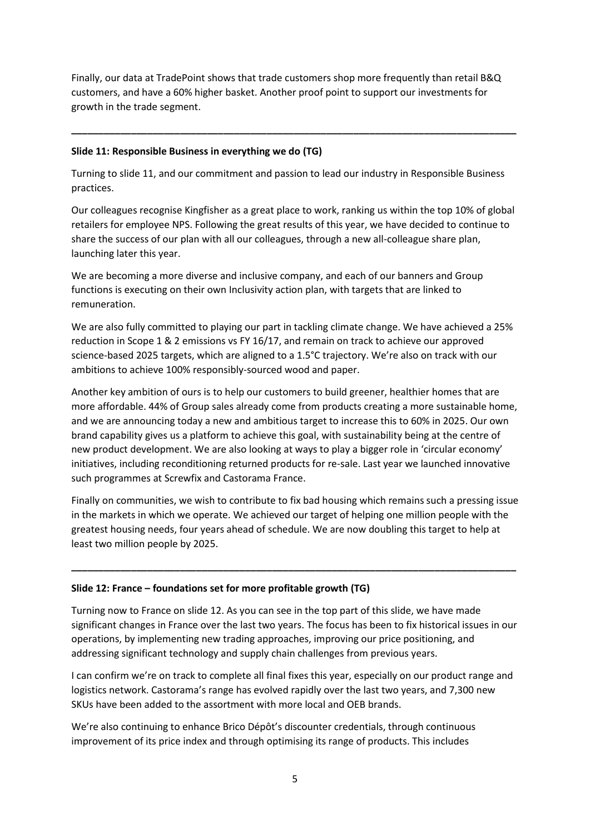Finally, our data at TradePoint shows that trade customers shop more frequently than retail B&Q customers, and have a 60% higher basket. Another proof point to support our investments for growth in the trade segment.

**\_\_\_\_\_\_\_\_\_\_\_\_\_\_\_\_\_\_\_\_\_\_\_\_\_\_\_\_\_\_\_\_\_\_\_\_\_\_\_\_\_\_\_\_\_\_\_\_\_\_\_\_\_\_\_\_\_\_\_\_\_\_\_\_\_\_\_\_\_\_\_\_\_\_\_\_\_\_\_\_\_\_**

# **Slide 11: Responsible Business in everything we do (TG)**

Turning to slide 11, and our commitment and passion to lead our industry in Responsible Business practices.

Our colleagues recognise Kingfisher as a great place to work, ranking us within the top 10% of global retailers for employee NPS. Following the great results of this year, we have decided to continue to share the success of our plan with all our colleagues, through a new all-colleague share plan, launching later this year.

We are becoming a more diverse and inclusive company, and each of our banners and Group functions is executing on their own Inclusivity action plan, with targets that are linked to remuneration.

We are also fully committed to playing our part in tackling climate change. We have achieved a 25% reduction in Scope 1 & 2 emissions vs FY 16/17, and remain on track to achieve our approved science-based 2025 targets, which are aligned to a 1.5°C trajectory. We're also on track with our ambitions to achieve 100% responsibly-sourced wood and paper.

Another key ambition of ours is to help our customers to build greener, healthier homes that are more affordable. 44% of Group sales already come from products creating a more sustainable home, and we are announcing today a new and ambitious target to increase this to 60% in 2025. Our own brand capability gives us a platform to achieve this goal, with sustainability being at the centre of new product development. We are also looking at ways to play a bigger role in 'circular economy' initiatives, including reconditioning returned products for re-sale. Last year we launched innovative such programmes at Screwfix and Castorama France.

Finally on communities, we wish to contribute to fix bad housing which remains such a pressing issue in the markets in which we operate. We achieved our target of helping one million people with the greatest housing needs, four years ahead of schedule. We are now doubling this target to help at least two million people by 2025.

**\_\_\_\_\_\_\_\_\_\_\_\_\_\_\_\_\_\_\_\_\_\_\_\_\_\_\_\_\_\_\_\_\_\_\_\_\_\_\_\_\_\_\_\_\_\_\_\_\_\_\_\_\_\_\_\_\_\_\_\_\_\_\_\_\_\_\_\_\_\_\_\_\_\_\_\_\_\_\_\_\_\_**

# **Slide 12: France – foundations set for more profitable growth (TG)**

Turning now to France on slide 12. As you can see in the top part of this slide, we have made significant changes in France over the last two years. The focus has been to fix historical issues in our operations, by implementing new trading approaches, improving our price positioning, and addressing significant technology and supply chain challenges from previous years.

I can confirm we're on track to complete all final fixes this year, especially on our product range and logistics network. Castorama's range has evolved rapidly over the last two years, and 7,300 new SKUs have been added to the assortment with more local and OEB brands.

We're also continuing to enhance Brico Dépôt's discounter credentials, through continuous improvement of its price index and through optimising its range of products. This includes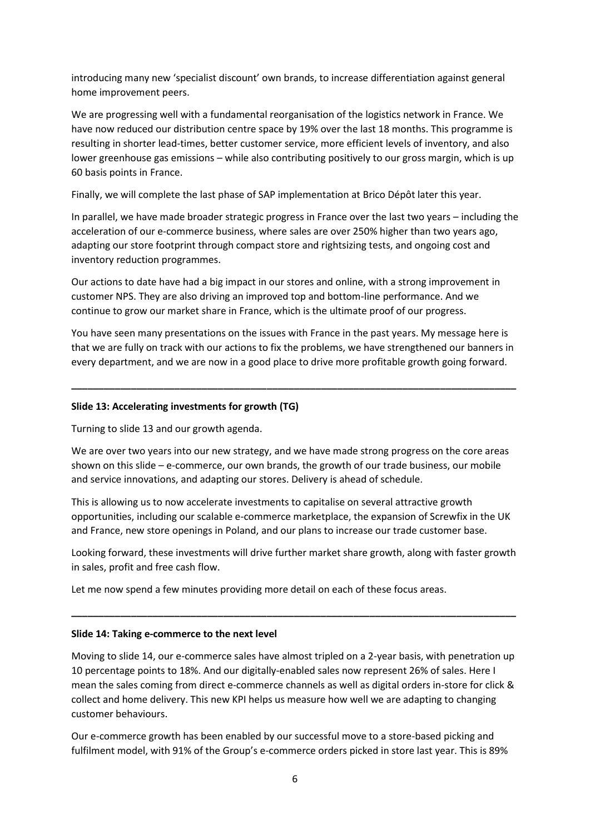introducing many new 'specialist discount' own brands, to increase differentiation against general home improvement peers.

We are progressing well with a fundamental reorganisation of the logistics network in France. We have now reduced our distribution centre space by 19% over the last 18 months. This programme is resulting in shorter lead-times, better customer service, more efficient levels of inventory, and also lower greenhouse gas emissions – while also contributing positively to our gross margin, which is up 60 basis points in France.

Finally, we will complete the last phase of SAP implementation at Brico Dépôt later this year.

In parallel, we have made broader strategic progress in France over the last two years – including the acceleration of our e-commerce business, where sales are over 250% higher than two years ago, adapting our store footprint through compact store and rightsizing tests, and ongoing cost and inventory reduction programmes.

Our actions to date have had a big impact in our stores and online, with a strong improvement in customer NPS. They are also driving an improved top and bottom-line performance. And we continue to grow our market share in France, which is the ultimate proof of our progress.

You have seen many presentations on the issues with France in the past years. My message here is that we are fully on track with our actions to fix the problems, we have strengthened our banners in every department, and we are now in a good place to drive more profitable growth going forward.

**\_\_\_\_\_\_\_\_\_\_\_\_\_\_\_\_\_\_\_\_\_\_\_\_\_\_\_\_\_\_\_\_\_\_\_\_\_\_\_\_\_\_\_\_\_\_\_\_\_\_\_\_\_\_\_\_\_\_\_\_\_\_\_\_\_\_\_\_\_\_\_\_\_\_\_\_\_\_\_\_\_\_**

## **Slide 13: Accelerating investments for growth (TG)**

Turning to slide 13 and our growth agenda.

We are over two years into our new strategy, and we have made strong progress on the core areas shown on this slide  $-e$ -commerce, our own brands, the growth of our trade business, our mobile and service innovations, and adapting our stores. Delivery is ahead of schedule.

This is allowing us to now accelerate investments to capitalise on several attractive growth opportunities, including our scalable e-commerce marketplace, the expansion of Screwfix in the UK and France, new store openings in Poland, and our plans to increase our trade customer base.

Looking forward, these investments will drive further market share growth, along with faster growth in sales, profit and free cash flow.

**\_\_\_\_\_\_\_\_\_\_\_\_\_\_\_\_\_\_\_\_\_\_\_\_\_\_\_\_\_\_\_\_\_\_\_\_\_\_\_\_\_\_\_\_\_\_\_\_\_\_\_\_\_\_\_\_\_\_\_\_\_\_\_\_\_\_\_\_\_\_\_\_\_\_\_\_\_\_\_\_\_\_**

Let me now spend a few minutes providing more detail on each of these focus areas.

#### **Slide 14: Taking e-commerce to the next level**

Moving to slide 14, our e-commerce sales have almost tripled on a 2-year basis, with penetration up 10 percentage points to 18%. And our digitally-enabled sales now represent 26% of sales. Here I mean the sales coming from direct e-commerce channels as well as digital orders in-store for click & collect and home delivery. This new KPI helps us measure how well we are adapting to changing customer behaviours.

Our e-commerce growth has been enabled by our successful move to a store-based picking and fulfilment model, with 91% of the Group's e-commerce orders picked in store last year. This is 89%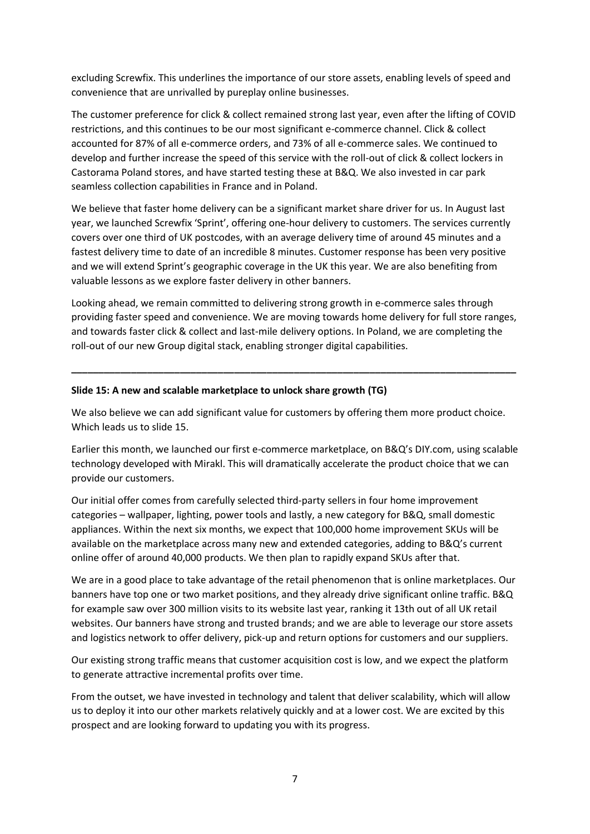excluding Screwfix. This underlines the importance of our store assets, enabling levels of speed and convenience that are unrivalled by pureplay online businesses.

The customer preference for click & collect remained strong last year, even after the lifting of COVID restrictions, and this continues to be our most significant e-commerce channel. Click & collect accounted for 87% of all e-commerce orders, and 73% of all e-commerce sales. We continued to develop and further increase the speed of this service with the roll-out of click & collect lockers in Castorama Poland stores, and have started testing these at B&Q. We also invested in car park seamless collection capabilities in France and in Poland.

We believe that faster home delivery can be a significant market share driver for us. In August last year, we launched Screwfix 'Sprint', offering one-hour delivery to customers. The services currently covers over one third of UK postcodes, with an average delivery time of around 45 minutes and a fastest delivery time to date of an incredible 8 minutes. Customer response has been very positive and we will extend Sprint's geographic coverage in the UK this year. We are also benefiting from valuable lessons as we explore faster delivery in other banners.

Looking ahead, we remain committed to delivering strong growth in e-commerce sales through providing faster speed and convenience. We are moving towards home delivery for full store ranges, and towards faster click & collect and last-mile delivery options. In Poland, we are completing the roll-out of our new Group digital stack, enabling stronger digital capabilities.

**\_\_\_\_\_\_\_\_\_\_\_\_\_\_\_\_\_\_\_\_\_\_\_\_\_\_\_\_\_\_\_\_\_\_\_\_\_\_\_\_\_\_\_\_\_\_\_\_\_\_\_\_\_\_\_\_\_\_\_\_\_\_\_\_\_\_\_\_\_\_\_\_\_\_\_\_\_\_\_\_\_\_**

## **Slide 15: A new and scalable marketplace to unlock share growth (TG)**

We also believe we can add significant value for customers by offering them more product choice. Which leads us to slide 15.

Earlier this month, we launched our first e-commerce marketplace, on B&Q's DIY.com, using scalable technology developed with Mirakl. This will dramatically accelerate the product choice that we can provide our customers.

Our initial offer comes from carefully selected third-party sellers in four home improvement categories – wallpaper, lighting, power tools and lastly, a new category for B&Q, small domestic appliances. Within the next six months, we expect that 100,000 home improvement SKUs will be available on the marketplace across many new and extended categories, adding to B&Q's current online offer of around 40,000 products. We then plan to rapidly expand SKUs after that.

We are in a good place to take advantage of the retail phenomenon that is online marketplaces. Our banners have top one or two market positions, and they already drive significant online traffic. B&Q for example saw over 300 million visits to its website last year, ranking it 13th out of all UK retail websites. Our banners have strong and trusted brands; and we are able to leverage our store assets and logistics network to offer delivery, pick-up and return options for customers and our suppliers.

Our existing strong traffic means that customer acquisition cost is low, and we expect the platform to generate attractive incremental profits over time.

From the outset, we have invested in technology and talent that deliver scalability, which will allow us to deploy it into our other markets relatively quickly and at a lower cost. We are excited by this prospect and are looking forward to updating you with its progress.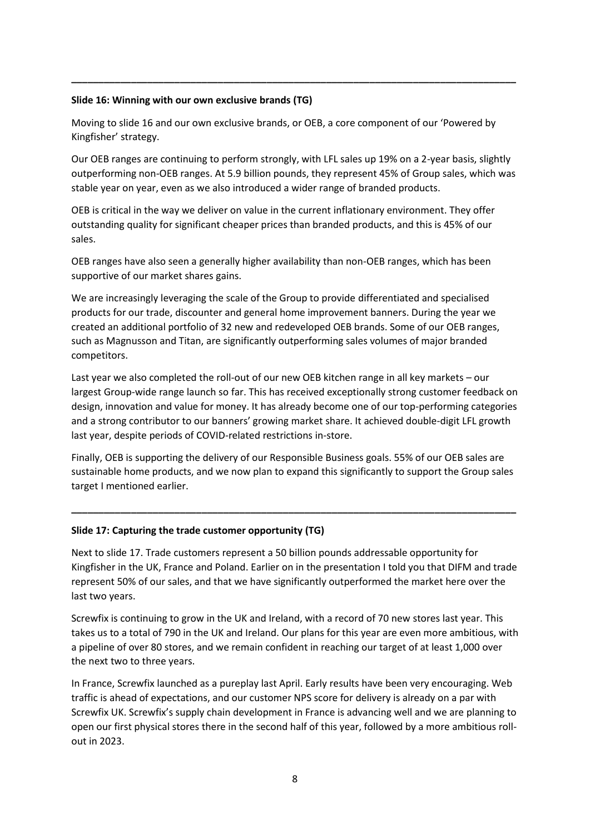## **Slide 16: Winning with our own exclusive brands (TG)**

Moving to slide 16 and our own exclusive brands, or OEB, a core component of our 'Powered by Kingfisher' strategy.

**\_\_\_\_\_\_\_\_\_\_\_\_\_\_\_\_\_\_\_\_\_\_\_\_\_\_\_\_\_\_\_\_\_\_\_\_\_\_\_\_\_\_\_\_\_\_\_\_\_\_\_\_\_\_\_\_\_\_\_\_\_\_\_\_\_\_\_\_\_\_\_\_\_\_\_\_\_\_\_\_\_\_**

Our OEB ranges are continuing to perform strongly, with LFL sales up 19% on a 2-year basis, slightly outperforming non-OEB ranges. At 5.9 billion pounds, they represent 45% of Group sales, which was stable year on year, even as we also introduced a wider range of branded products.

OEB is critical in the way we deliver on value in the current inflationary environment. They offer outstanding quality for significant cheaper prices than branded products, and this is 45% of our sales.

OEB ranges have also seen a generally higher availability than non-OEB ranges, which has been supportive of our market shares gains.

We are increasingly leveraging the scale of the Group to provide differentiated and specialised products for our trade, discounter and general home improvement banners. During the year we created an additional portfolio of 32 new and redeveloped OEB brands. Some of our OEB ranges, such as Magnusson and Titan, are significantly outperforming sales volumes of major branded competitors.

Last year we also completed the roll-out of our new OEB kitchen range in all key markets – our largest Group-wide range launch so far. This has received exceptionally strong customer feedback on design, innovation and value for money. It has already become one of our top-performing categories and a strong contributor to our banners' growing market share. It achieved double-digit LFL growth last year, despite periods of COVID-related restrictions in-store.

Finally, OEB is supporting the delivery of our Responsible Business goals. 55% of our OEB sales are sustainable home products, and we now plan to expand this significantly to support the Group sales target I mentioned earlier.

**\_\_\_\_\_\_\_\_\_\_\_\_\_\_\_\_\_\_\_\_\_\_\_\_\_\_\_\_\_\_\_\_\_\_\_\_\_\_\_\_\_\_\_\_\_\_\_\_\_\_\_\_\_\_\_\_\_\_\_\_\_\_\_\_\_\_\_\_\_\_\_\_\_\_\_\_\_\_\_\_\_\_**

## **Slide 17: Capturing the trade customer opportunity (TG)**

Next to slide 17. Trade customers represent a 50 billion pounds addressable opportunity for Kingfisher in the UK, France and Poland. Earlier on in the presentation I told you that DIFM and trade represent 50% of our sales, and that we have significantly outperformed the market here over the last two years.

Screwfix is continuing to grow in the UK and Ireland, with a record of 70 new stores last year. This takes us to a total of 790 in the UK and Ireland. Our plans for this year are even more ambitious, with a pipeline of over 80 stores, and we remain confident in reaching our target of at least 1,000 over the next two to three years.

In France, Screwfix launched as a pureplay last April. Early results have been very encouraging. Web traffic is ahead of expectations, and our customer NPS score for delivery is already on a par with Screwfix UK. Screwfix's supply chain development in France is advancing well and we are planning to open our first physical stores there in the second half of this year, followed by a more ambitious rollout in 2023.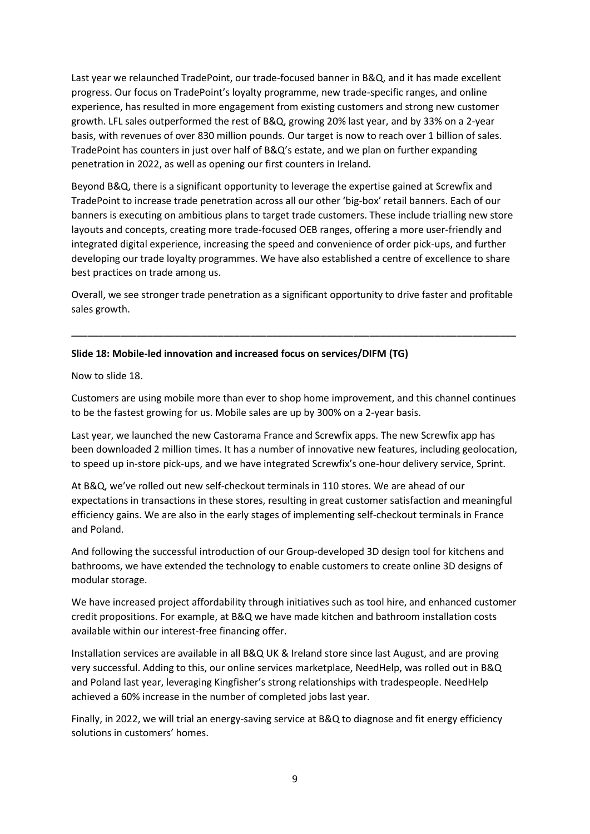Last year we relaunched TradePoint, our trade-focused banner in B&Q, and it has made excellent progress. Our focus on TradePoint's loyalty programme, new trade-specific ranges, and online experience, has resulted in more engagement from existing customers and strong new customer growth. LFL sales outperformed the rest of B&Q, growing 20% last year, and by 33% on a 2-year basis, with revenues of over 830 million pounds. Our target is now to reach over 1 billion of sales. TradePoint has counters in just over half of B&Q's estate, and we plan on further expanding penetration in 2022, as well as opening our first counters in Ireland.

Beyond B&Q, there is a significant opportunity to leverage the expertise gained at Screwfix and TradePoint to increase trade penetration across all our other 'big-box' retail banners. Each of our banners is executing on ambitious plans to target trade customers. These include trialling new store layouts and concepts, creating more trade-focused OEB ranges, offering a more user-friendly and integrated digital experience, increasing the speed and convenience of order pick-ups, and further developing our trade loyalty programmes. We have also established a centre of excellence to share best practices on trade among us.

Overall, we see stronger trade penetration as a significant opportunity to drive faster and profitable sales growth.

**\_\_\_\_\_\_\_\_\_\_\_\_\_\_\_\_\_\_\_\_\_\_\_\_\_\_\_\_\_\_\_\_\_\_\_\_\_\_\_\_\_\_\_\_\_\_\_\_\_\_\_\_\_\_\_\_\_\_\_\_\_\_\_\_\_\_\_\_\_\_\_\_\_\_\_\_\_\_\_\_\_\_**

## **Slide 18: Mobile-led innovation and increased focus on services/DIFM (TG)**

Now to slide 18.

Customers are using mobile more than ever to shop home improvement, and this channel continues to be the fastest growing for us. Mobile sales are up by 300% on a 2-year basis.

Last year, we launched the new Castorama France and Screwfix apps. The new Screwfix app has been downloaded 2 million times. It has a number of innovative new features, including geolocation, to speed up in-store pick-ups, and we have integrated Screwfix's one-hour delivery service, Sprint.

At B&Q, we've rolled out new self-checkout terminals in 110 stores. We are ahead of our expectations in transactions in these stores, resulting in great customer satisfaction and meaningful efficiency gains. We are also in the early stages of implementing self-checkout terminals in France and Poland.

And following the successful introduction of our Group-developed 3D design tool for kitchens and bathrooms, we have extended the technology to enable customers to create online 3D designs of modular storage.

We have increased project affordability through initiatives such as tool hire, and enhanced customer credit propositions. For example, at B&Q we have made kitchen and bathroom installation costs available within our interest-free financing offer.

Installation services are available in all B&Q UK & Ireland store since last August, and are proving very successful. Adding to this, our online services marketplace, NeedHelp, was rolled out in B&Q and Poland last year, leveraging Kingfisher's strong relationships with tradespeople. NeedHelp achieved a 60% increase in the number of completed jobs last year.

Finally, in 2022, we will trial an energy-saving service at B&Q to diagnose and fit energy efficiency solutions in customers' homes.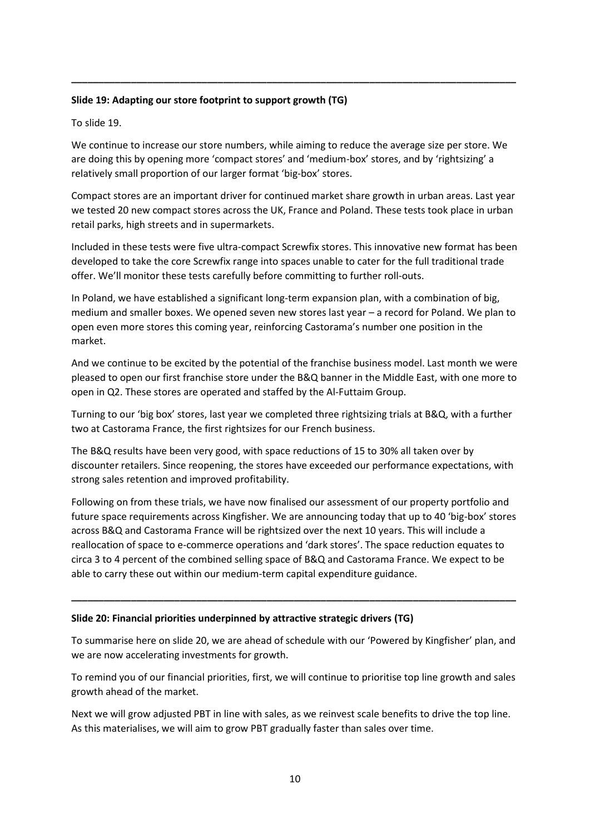# **Slide 19: Adapting our store footprint to support growth (TG)**

To slide 19.

We continue to increase our store numbers, while aiming to reduce the average size per store. We are doing this by opening more 'compact stores' and 'medium-box' stores, and by 'rightsizing' a relatively small proportion of our larger format 'big-box' stores.

**\_\_\_\_\_\_\_\_\_\_\_\_\_\_\_\_\_\_\_\_\_\_\_\_\_\_\_\_\_\_\_\_\_\_\_\_\_\_\_\_\_\_\_\_\_\_\_\_\_\_\_\_\_\_\_\_\_\_\_\_\_\_\_\_\_\_\_\_\_\_\_\_\_\_\_\_\_\_\_\_\_\_**

Compact stores are an important driver for continued market share growth in urban areas. Last year we tested 20 new compact stores across the UK, France and Poland. These tests took place in urban retail parks, high streets and in supermarkets.

Included in these tests were five ultra-compact Screwfix stores. This innovative new format has been developed to take the core Screwfix range into spaces unable to cater for the full traditional trade offer. We'll monitor these tests carefully before committing to further roll-outs.

In Poland, we have established a significant long-term expansion plan, with a combination of big, medium and smaller boxes. We opened seven new stores last year – a record for Poland. We plan to open even more stores this coming year, reinforcing Castorama's number one position in the market.

And we continue to be excited by the potential of the franchise business model. Last month we were pleased to open our first franchise store under the B&Q banner in the Middle East, with one more to open in Q2. These stores are operated and staffed by the Al-Futtaim Group.

Turning to our 'big box' stores, last year we completed three rightsizing trials at B&Q, with a further two at Castorama France, the first rightsizes for our French business.

The B&Q results have been very good, with space reductions of 15 to 30% all taken over by discounter retailers. Since reopening, the stores have exceeded our performance expectations, with strong sales retention and improved profitability.

Following on from these trials, we have now finalised our assessment of our property portfolio and future space requirements across Kingfisher. We are announcing today that up to 40 'big-box' stores across B&Q and Castorama France will be rightsized over the next 10 years. This will include a reallocation of space to e-commerce operations and 'dark stores'. The space reduction equates to circa 3 to 4 percent of the combined selling space of B&Q and Castorama France. We expect to be able to carry these out within our medium-term capital expenditure guidance.

## **Slide 20: Financial priorities underpinned by attractive strategic drivers (TG)**

To summarise here on slide 20, we are ahead of schedule with our 'Powered by Kingfisher' plan, and we are now accelerating investments for growth.

**\_\_\_\_\_\_\_\_\_\_\_\_\_\_\_\_\_\_\_\_\_\_\_\_\_\_\_\_\_\_\_\_\_\_\_\_\_\_\_\_\_\_\_\_\_\_\_\_\_\_\_\_\_\_\_\_\_\_\_\_\_\_\_\_\_\_\_\_\_\_\_\_\_\_\_\_\_\_\_\_\_\_**

To remind you of our financial priorities, first, we will continue to prioritise top line growth and sales growth ahead of the market.

Next we will grow adjusted PBT in line with sales, as we reinvest scale benefits to drive the top line. As this materialises, we will aim to grow PBT gradually faster than sales over time.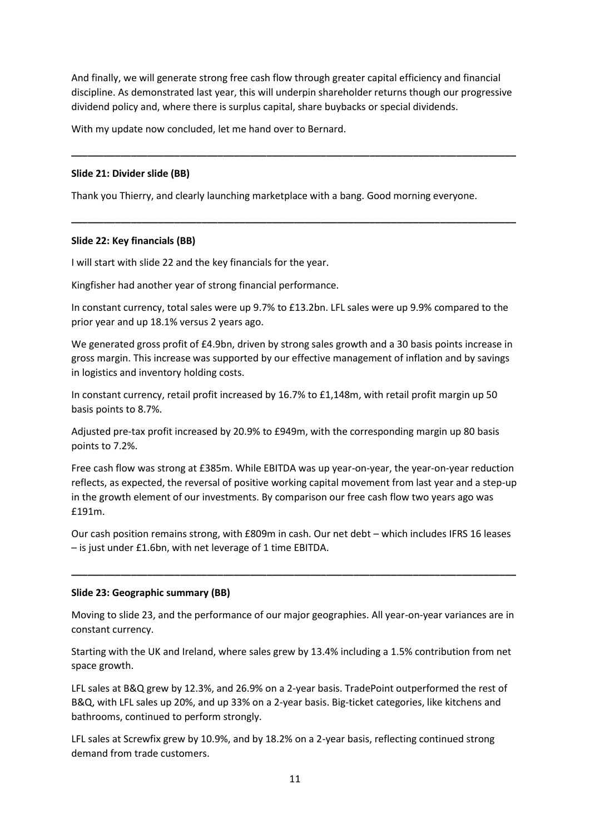And finally, we will generate strong free cash flow through greater capital efficiency and financial discipline. As demonstrated last year, this will underpin shareholder returns though our progressive dividend policy and, where there is surplus capital, share buybacks or special dividends.

**\_\_\_\_\_\_\_\_\_\_\_\_\_\_\_\_\_\_\_\_\_\_\_\_\_\_\_\_\_\_\_\_\_\_\_\_\_\_\_\_\_\_\_\_\_\_\_\_\_\_\_\_\_\_\_\_\_\_\_\_\_\_\_\_\_\_\_\_\_\_\_\_\_\_\_\_\_\_\_\_\_\_**

**\_\_\_\_\_\_\_\_\_\_\_\_\_\_\_\_\_\_\_\_\_\_\_\_\_\_\_\_\_\_\_\_\_\_\_\_\_\_\_\_\_\_\_\_\_\_\_\_\_\_\_\_\_\_\_\_\_\_\_\_\_\_\_\_\_\_\_\_\_\_\_\_\_\_\_\_\_\_\_\_\_\_**

With my update now concluded, let me hand over to Bernard.

# **Slide 21: Divider slide (BB)**

Thank you Thierry, and clearly launching marketplace with a bang. Good morning everyone.

# **Slide 22: Key financials (BB)**

I will start with slide 22 and the key financials for the year.

Kingfisher had another year of strong financial performance.

In constant currency, total sales were up 9.7% to £13.2bn. LFL sales were up 9.9% compared to the prior year and up 18.1% versus 2 years ago.

We generated gross profit of £4.9bn, driven by strong sales growth and a 30 basis points increase in gross margin. This increase was supported by our effective management of inflation and by savings in logistics and inventory holding costs.

In constant currency, retail profit increased by 16.7% to £1,148m, with retail profit margin up 50 basis points to 8.7%.

Adjusted pre-tax profit increased by 20.9% to £949m, with the corresponding margin up 80 basis points to 7.2%.

Free cash flow was strong at £385m. While EBITDA was up year-on-year, the year-on-year reduction reflects, as expected, the reversal of positive working capital movement from last year and a step-up in the growth element of our investments. By comparison our free cash flow two years ago was £191m.

Our cash position remains strong, with £809m in cash. Our net debt – which includes IFRS 16 leases – is just under £1.6bn, with net leverage of 1 time EBITDA.

**\_\_\_\_\_\_\_\_\_\_\_\_\_\_\_\_\_\_\_\_\_\_\_\_\_\_\_\_\_\_\_\_\_\_\_\_\_\_\_\_\_\_\_\_\_\_\_\_\_\_\_\_\_\_\_\_\_\_\_\_\_\_\_\_\_\_\_\_\_\_\_\_\_\_\_\_\_\_\_\_\_\_**

## **Slide 23: Geographic summary (BB)**

Moving to slide 23, and the performance of our major geographies. All year-on-year variances are in constant currency.

Starting with the UK and Ireland, where sales grew by 13.4% including a 1.5% contribution from net space growth.

LFL sales at B&Q grew by 12.3%, and 26.9% on a 2-year basis. TradePoint outperformed the rest of B&Q, with LFL sales up 20%, and up 33% on a 2-year basis. Big-ticket categories, like kitchens and bathrooms, continued to perform strongly.

LFL sales at Screwfix grew by 10.9%, and by 18.2% on a 2-year basis, reflecting continued strong demand from trade customers.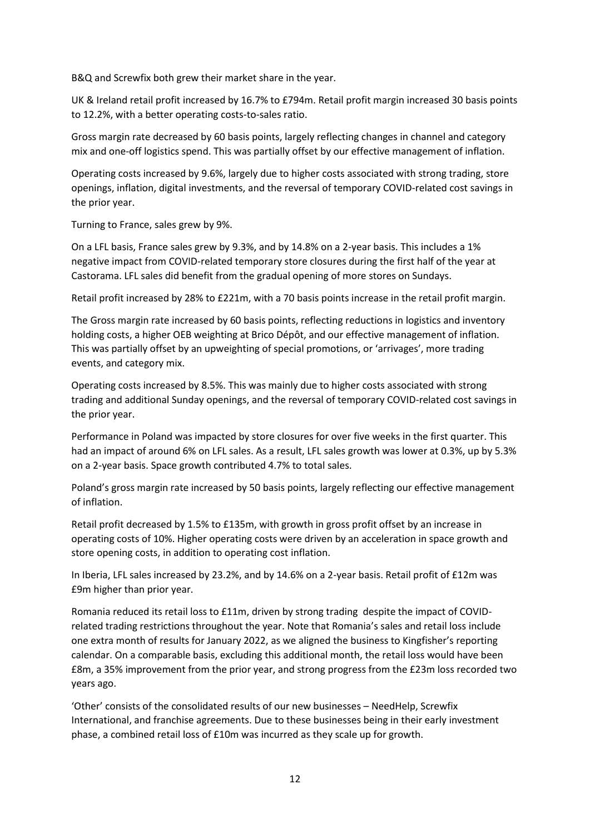B&Q and Screwfix both grew their market share in the year.

UK & Ireland retail profit increased by 16.7% to £794m. Retail profit margin increased 30 basis points to 12.2%, with a better operating costs-to-sales ratio.

Gross margin rate decreased by 60 basis points, largely reflecting changes in channel and category mix and one-off logistics spend. This was partially offset by our effective management of inflation.

Operating costs increased by 9.6%, largely due to higher costs associated with strong trading, store openings, inflation, digital investments, and the reversal of temporary COVID-related cost savings in the prior year.

Turning to France, sales grew by 9%.

On a LFL basis, France sales grew by 9.3%, and by 14.8% on a 2-year basis. This includes a 1% negative impact from COVID-related temporary store closures during the first half of the year at Castorama. LFL sales did benefit from the gradual opening of more stores on Sundays.

Retail profit increased by 28% to £221m, with a 70 basis points increase in the retail profit margin.

The Gross margin rate increased by 60 basis points, reflecting reductions in logistics and inventory holding costs, a higher OEB weighting at Brico Dépôt, and our effective management of inflation. This was partially offset by an upweighting of special promotions, or 'arrivages', more trading events, and category mix.

Operating costs increased by 8.5%. This was mainly due to higher costs associated with strong trading and additional Sunday openings, and the reversal of temporary COVID-related cost savings in the prior year.

Performance in Poland was impacted by store closures for over five weeks in the first quarter. This had an impact of around 6% on LFL sales. As a result, LFL sales growth was lower at 0.3%, up by 5.3% on a 2-year basis. Space growth contributed 4.7% to total sales.

Poland's gross margin rate increased by 50 basis points, largely reflecting our effective management of inflation.

Retail profit decreased by 1.5% to £135m, with growth in gross profit offset by an increase in operating costs of 10%. Higher operating costs were driven by an acceleration in space growth and store opening costs, in addition to operating cost inflation.

In Iberia, LFL sales increased by 23.2%, and by 14.6% on a 2-year basis. Retail profit of £12m was £9m higher than prior year.

Romania reduced its retail loss to £11m, driven by strong trading despite the impact of COVIDrelated trading restrictions throughout the year. Note that Romania's sales and retail loss include one extra month of results for January 2022, as we aligned the business to Kingfisher's reporting calendar. On a comparable basis, excluding this additional month, the retail loss would have been £8m, a 35% improvement from the prior year, and strong progress from the £23m loss recorded two years ago.

'Other' consists of the consolidated results of our new businesses – NeedHelp, Screwfix International, and franchise agreements. Due to these businesses being in their early investment phase, a combined retail loss of £10m was incurred as they scale up for growth.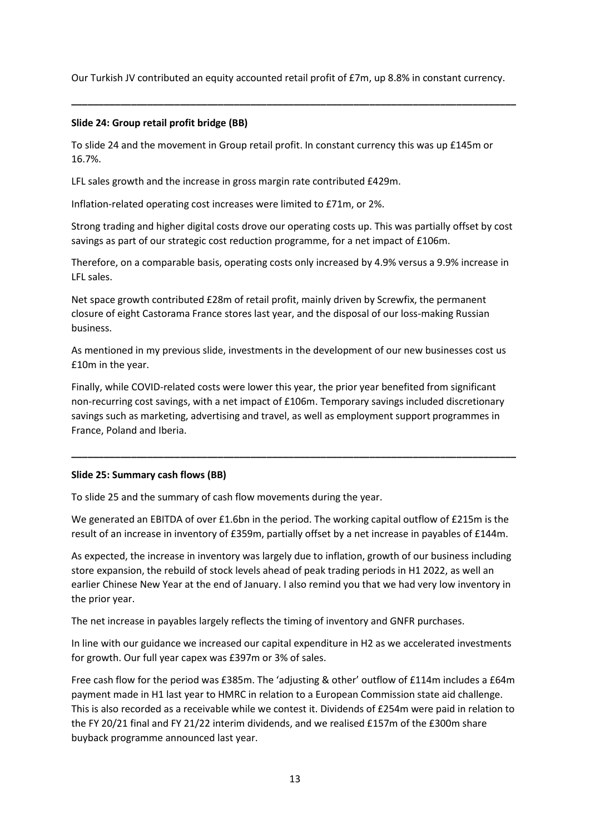Our Turkish JV contributed an equity accounted retail profit of £7m, up 8.8% in constant currency.

**\_\_\_\_\_\_\_\_\_\_\_\_\_\_\_\_\_\_\_\_\_\_\_\_\_\_\_\_\_\_\_\_\_\_\_\_\_\_\_\_\_\_\_\_\_\_\_\_\_\_\_\_\_\_\_\_\_\_\_\_\_\_\_\_\_\_\_\_\_\_\_\_\_\_\_\_\_\_\_\_\_\_**

# **Slide 24: Group retail profit bridge (BB)**

To slide 24 and the movement in Group retail profit. In constant currency this was up £145m or 16.7%.

LFL sales growth and the increase in gross margin rate contributed £429m.

Inflation-related operating cost increases were limited to £71m, or 2%.

Strong trading and higher digital costs drove our operating costs up. This was partially offset by cost savings as part of our strategic cost reduction programme, for a net impact of £106m.

Therefore, on a comparable basis, operating costs only increased by 4.9% versus a 9.9% increase in LFL sales.

Net space growth contributed £28m of retail profit, mainly driven by Screwfix, the permanent closure of eight Castorama France stores last year, and the disposal of our loss-making Russian business.

As mentioned in my previous slide, investments in the development of our new businesses cost us £10m in the year.

Finally, while COVID-related costs were lower this year, the prior year benefited from significant non-recurring cost savings, with a net impact of £106m. Temporary savings included discretionary savings such as marketing, advertising and travel, as well as employment support programmes in France, Poland and Iberia.

**\_\_\_\_\_\_\_\_\_\_\_\_\_\_\_\_\_\_\_\_\_\_\_\_\_\_\_\_\_\_\_\_\_\_\_\_\_\_\_\_\_\_\_\_\_\_\_\_\_\_\_\_\_\_\_\_\_\_\_\_\_\_\_\_\_\_\_\_\_\_\_\_\_\_\_\_\_\_\_\_\_\_**

# **Slide 25: Summary cash flows (BB)**

To slide 25 and the summary of cash flow movements during the year.

We generated an EBITDA of over £1.6bn in the period. The working capital outflow of £215m is the result of an increase in inventory of £359m, partially offset by a net increase in payables of £144m.

As expected, the increase in inventory was largely due to inflation, growth of our business including store expansion, the rebuild of stock levels ahead of peak trading periods in H1 2022, as well an earlier Chinese New Year at the end of January. I also remind you that we had very low inventory in the prior year.

The net increase in payables largely reflects the timing of inventory and GNFR purchases.

In line with our guidance we increased our capital expenditure in H2 as we accelerated investments for growth. Our full year capex was £397m or 3% of sales.

Free cash flow for the period was £385m. The 'adjusting & other' outflow of £114m includes a £64m payment made in H1 last year to HMRC in relation to a European Commission state aid challenge. This is also recorded as a receivable while we contest it. Dividends of £254m were paid in relation to the FY 20/21 final and FY 21/22 interim dividends, and we realised £157m of the £300m share buyback programme announced last year.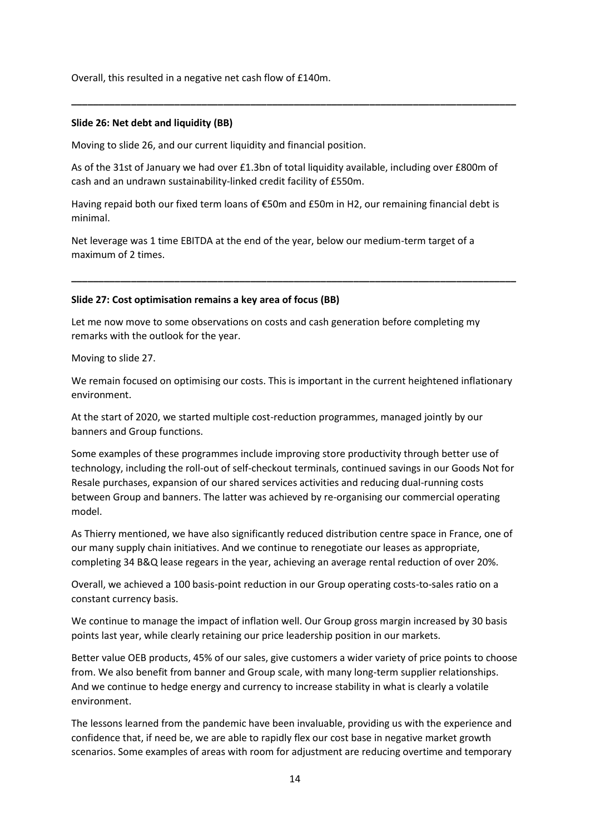Overall, this resulted in a negative net cash flow of £140m.

#### **Slide 26: Net debt and liquidity (BB)**

Moving to slide 26, and our current liquidity and financial position.

As of the 31st of January we had over £1.3bn of total liquidity available, including over £800m of cash and an undrawn sustainability-linked credit facility of £550m.

**\_\_\_\_\_\_\_\_\_\_\_\_\_\_\_\_\_\_\_\_\_\_\_\_\_\_\_\_\_\_\_\_\_\_\_\_\_\_\_\_\_\_\_\_\_\_\_\_\_\_\_\_\_\_\_\_\_\_\_\_\_\_\_\_\_\_\_\_\_\_\_\_\_\_\_\_\_\_\_\_\_\_**

Having repaid both our fixed term loans of €50m and £50m in H2, our remaining financial debt is minimal.

**\_\_\_\_\_\_\_\_\_\_\_\_\_\_\_\_\_\_\_\_\_\_\_\_\_\_\_\_\_\_\_\_\_\_\_\_\_\_\_\_\_\_\_\_\_\_\_\_\_\_\_\_\_\_\_\_\_\_\_\_\_\_\_\_\_\_\_\_\_\_\_\_\_\_\_\_\_\_\_\_\_\_**

Net leverage was 1 time EBITDA at the end of the year, below our medium-term target of a maximum of 2 times.

#### **Slide 27: Cost optimisation remains a key area of focus (BB)**

Let me now move to some observations on costs and cash generation before completing my remarks with the outlook for the year.

Moving to slide 27.

We remain focused on optimising our costs. This is important in the current heightened inflationary environment.

At the start of 2020, we started multiple cost-reduction programmes, managed jointly by our banners and Group functions.

Some examples of these programmes include improving store productivity through better use of technology, including the roll-out of self-checkout terminals, continued savings in our Goods Not for Resale purchases, expansion of our shared services activities and reducing dual-running costs between Group and banners. The latter was achieved by re-organising our commercial operating model.

As Thierry mentioned, we have also significantly reduced distribution centre space in France, one of our many supply chain initiatives. And we continue to renegotiate our leases as appropriate, completing 34 B&Q lease regears in the year, achieving an average rental reduction of over 20%.

Overall, we achieved a 100 basis-point reduction in our Group operating costs-to-sales ratio on a constant currency basis.

We continue to manage the impact of inflation well. Our Group gross margin increased by 30 basis points last year, while clearly retaining our price leadership position in our markets.

Better value OEB products, 45% of our sales, give customers a wider variety of price points to choose from. We also benefit from banner and Group scale, with many long-term supplier relationships. And we continue to hedge energy and currency to increase stability in what is clearly a volatile environment.

The lessons learned from the pandemic have been invaluable, providing us with the experience and confidence that, if need be, we are able to rapidly flex our cost base in negative market growth scenarios. Some examples of areas with room for adjustment are reducing overtime and temporary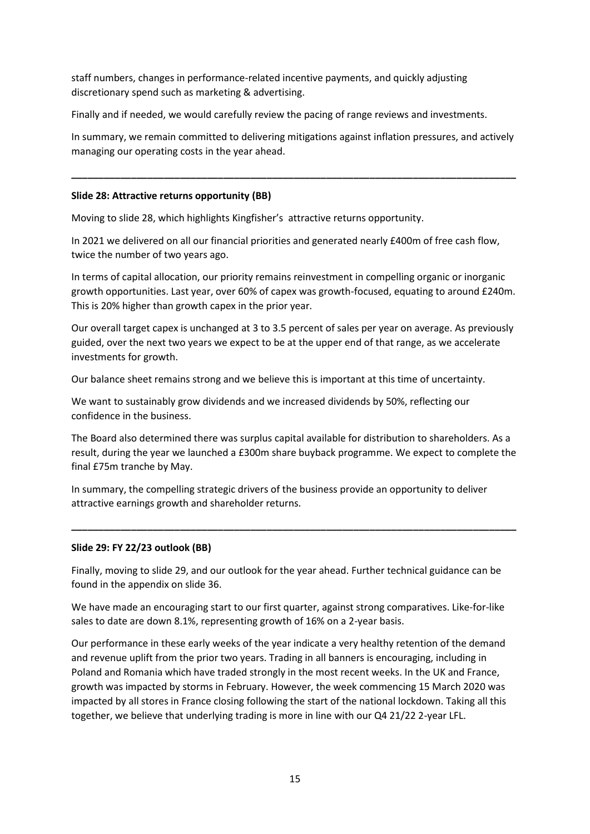staff numbers, changes in performance-related incentive payments, and quickly adjusting discretionary spend such as marketing & advertising.

Finally and if needed, we would carefully review the pacing of range reviews and investments.

In summary, we remain committed to delivering mitigations against inflation pressures, and actively managing our operating costs in the year ahead.

**\_\_\_\_\_\_\_\_\_\_\_\_\_\_\_\_\_\_\_\_\_\_\_\_\_\_\_\_\_\_\_\_\_\_\_\_\_\_\_\_\_\_\_\_\_\_\_\_\_\_\_\_\_\_\_\_\_\_\_\_\_\_\_\_\_\_\_\_\_\_\_\_\_\_\_\_\_\_\_\_\_\_**

# **Slide 28: Attractive returns opportunity (BB)**

Moving to slide 28, which highlights Kingfisher's attractive returns opportunity.

In 2021 we delivered on all our financial priorities and generated nearly £400m of free cash flow, twice the number of two years ago.

In terms of capital allocation, our priority remains reinvestment in compelling organic or inorganic growth opportunities. Last year, over 60% of capex was growth-focused, equating to around £240m. This is 20% higher than growth capex in the prior year.

Our overall target capex is unchanged at 3 to 3.5 percent of sales per year on average. As previously guided, over the next two years we expect to be at the upper end of that range, as we accelerate investments for growth.

Our balance sheet remains strong and we believe this is important at this time of uncertainty.

We want to sustainably grow dividends and we increased dividends by 50%, reflecting our confidence in the business.

The Board also determined there was surplus capital available for distribution to shareholders. As a result, during the year we launched a £300m share buyback programme. We expect to complete the final £75m tranche by May.

**\_\_\_\_\_\_\_\_\_\_\_\_\_\_\_\_\_\_\_\_\_\_\_\_\_\_\_\_\_\_\_\_\_\_\_\_\_\_\_\_\_\_\_\_\_\_\_\_\_\_\_\_\_\_\_\_\_\_\_\_\_\_\_\_\_\_\_\_\_\_\_\_\_\_\_\_\_\_\_\_\_\_**

In summary, the compelling strategic drivers of the business provide an opportunity to deliver attractive earnings growth and shareholder returns.

## **Slide 29: FY 22/23 outlook (BB)**

Finally, moving to slide 29, and our outlook for the year ahead. Further technical guidance can be found in the appendix on slide 36.

We have made an encouraging start to our first quarter, against strong comparatives. Like-for-like sales to date are down 8.1%, representing growth of 16% on a 2-year basis.

Our performance in these early weeks of the year indicate a very healthy retention of the demand and revenue uplift from the prior two years. Trading in all banners is encouraging, including in Poland and Romania which have traded strongly in the most recent weeks. In the UK and France, growth was impacted by storms in February. However, the week commencing 15 March 2020 was impacted by all stores in France closing following the start of the national lockdown. Taking all this together, we believe that underlying trading is more in line with our Q4 21/22 2-year LFL.